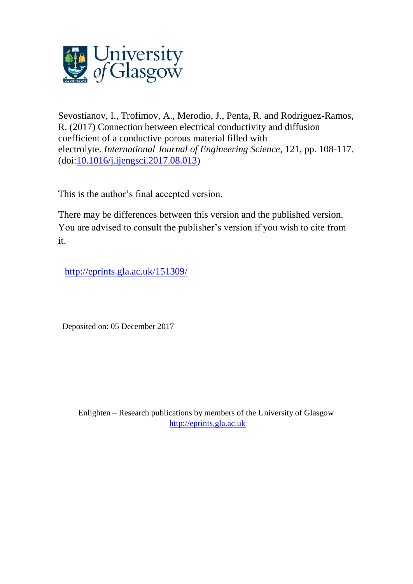

Sevostianov, I., Trofimov, A., Merodio, J., Penta, R. and Rodriguez-Ramos, R. (2017) Connection between electrical conductivity and diffusion coefficient of a conductive porous material filled with electrolyte. *International Journal of Engineering Science*, 121, pp. 108-117. (doi[:10.1016/j.ijengsci.2017.08.013\)](http://dx.doi.org/10.1016/j.ijengsci.2017.08.013)

This is the author's final accepted version.

There may be differences between this version and the published version. You are advised to consult the publisher's version if you wish to cite from it.

<http://eprints.gla.ac.uk/151309/>

Deposited on: 05 December 2017

Enlighten – Research publications by members of the University of Glasgow [http://eprints.gla.ac.uk](http://eprints.gla.ac.uk/)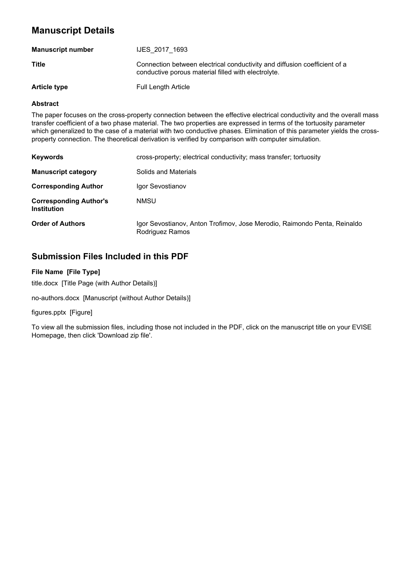# **Manuscript Details**

| <b>Manuscript number</b> | <b>IJES 2017 1693</b>                                                                                                            |
|--------------------------|----------------------------------------------------------------------------------------------------------------------------------|
| Title                    | Connection between electrical conductivity and diffusion coefficient of a<br>conductive porous material filled with electrolyte. |
| <b>Article type</b>      | <b>Full Length Article</b>                                                                                                       |

#### **Abstract**

The paper focuses on the cross-property connection between the effective electrical conductivity and the overall mass transfer coefficient of a two phase material. The two properties are expressed in terms of the tortuosity parameter which generalized to the case of a material with two conductive phases. Elimination of this parameter yields the crossproperty connection. The theoretical derivation is verified by comparison with computer simulation.

| <b>Keywords</b>                                     | cross-property; electrical conductivity; mass transfer; tortuosity                          |
|-----------------------------------------------------|---------------------------------------------------------------------------------------------|
| <b>Manuscript category</b>                          | Solids and Materials                                                                        |
| <b>Corresponding Author</b>                         | Igor Sevostianov                                                                            |
| <b>Corresponding Author's</b><br><b>Institution</b> | <b>NMSU</b>                                                                                 |
| <b>Order of Authors</b>                             | Igor Sevostianov, Anton Trofimov, Jose Merodio, Raimondo Penta, Reinaldo<br>Rodriguez Ramos |

## **Submission Files Included in this PDF**

## **File Name [File Type]**

title.docx [Title Page (with Author Details)]

no-authors.docx [Manuscript (without Author Details)]

#### figures.pptx [Figure]

To view all the submission files, including those not included in the PDF, click on the manuscript title on your EVISE Homepage, then click 'Download zip file'.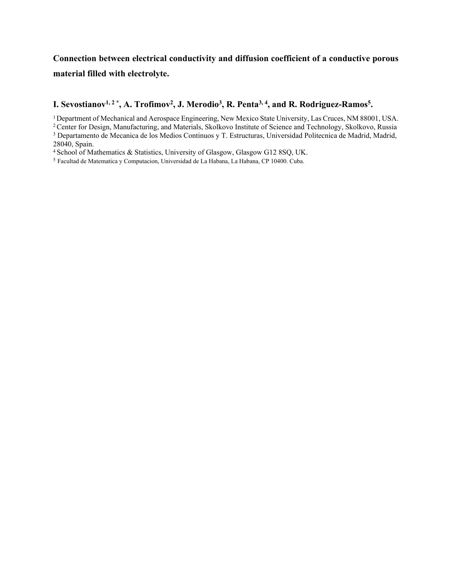# **Connection between electrical conductivity and diffusion coefficient of a conductive porous material filled with electrolyte.**

## **I. Sevostianov1, 2 \*, A. Trofimov<sup>2</sup> , J. Merodio<sup>3</sup> , R. Penta3, 4, and R. Rodriguez-Ramos<sup>5</sup> .**

<sup>1</sup>Department of Mechanical and Aerospace Engineering, New Mexico State University, Las Cruces, NM 88001, USA.

3 Departamento de Mecanica de los Medios Continuos y T. Estructuras, Universidad Politecnica de Madrid, Madrid, 28040, Spain.

<sup>4</sup>School of Mathematics & Statistics, University of Glasgow, Glasgow G12 8SQ, UK.

<sup>5</sup> Facultad de Matematica y Computacion, Universidad de La Habana, La Habana, CP 10400. Cuba.

<sup>&</sup>lt;sup>2</sup> Center for Design, Manufacturing, and Materials, Skolkovo Institute of Science and Technology, Skolkovo, Russia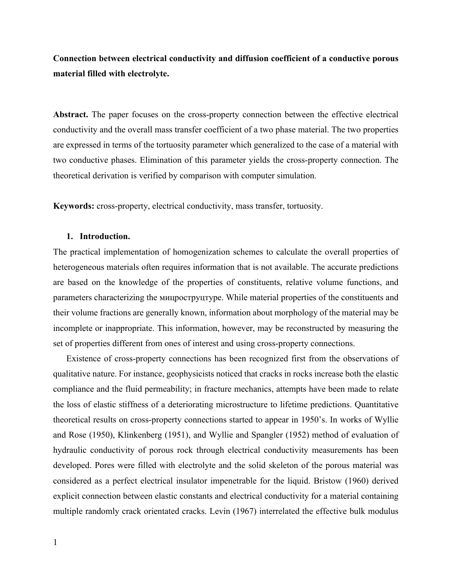**Connection between electrical conductivity and diffusion coefficient of a conductive porous material filled with electrolyte.**

**Abstract.** The paper focuses on the cross-property connection between the effective electrical conductivity and the overall mass transfer coefficient of a two phase material. The two properties are expressed in terms of the tortuosity parameter which generalized to the case of a material with two conductive phases. Elimination of this parameter yields the cross-property connection. The theoretical derivation is verified by comparison with computer simulation.

**Keywords:** cross-property, electrical conductivity, mass transfer, tortuosity.

## **1. Introduction.**

The practical implementation of homogenization schemes to calculate the overall properties of heterogeneous materials often requires information that is not available. The accurate predictions are based on the knowledge of the properties of constituents, relative volume functions, and parameters characterizing the мицроструцтуре. While material properties of the constituents and their volume fractions are generally known, information about morphology of the material may be incomplete or inappropriate. This information, however, may be reconstructed by measuring the set of properties different from ones of interest and using cross-property connections.

Existence of cross-property connections has been recognized first from the observations of qualitative nature. For instance, geophysicists noticed that cracks in rocks increase both the elastic compliance and the fluid permeability; in fracture mechanics, attempts have been made to relate the loss of elastic stiffness of a deteriorating microstructure to lifetime predictions. Quantitative theoretical results on cross-property connections started to appear in 1950's. In works of Wyllie and Rose (1950), Klinkenberg (1951), and Wyllie and Spangler (1952) method of evaluation of hydraulic conductivity of porous rock through electrical conductivity measurements has been developed. Pores were filled with electrolyte and the solid skeleton of the porous material was considered as a perfect electrical insulator impenetrable for the liquid. Bristow (1960) derived explicit connection between elastic constants and electrical conductivity for a material containing multiple randomly crack orientated cracks. Levin (1967) interrelated the effective bulk modulus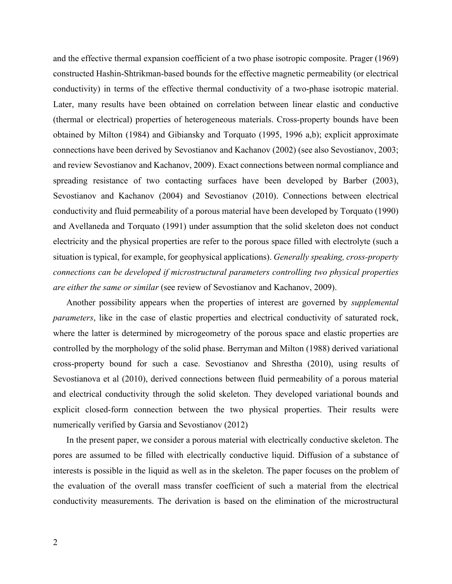and the effective thermal expansion coefficient of a two phase isotropic composite. Prager (1969) constructed Hashin-Shtrikman-based bounds for the effective magnetic permeability (or electrical conductivity) in terms of the effective thermal conductivity of a two-phase isotropic material. Later, many results have been obtained on correlation between linear elastic and conductive (thermal or electrical) properties of heterogeneous materials. Cross-property bounds have been obtained by Milton (1984) and Gibiansky and Torquato (1995, 1996 a,b); explicit approximate connections have been derived by Sevostianov and Kachanov (2002) (see also Sevostianov, 2003; and review Sevostianov and Kachanov, 2009). Exact connections between normal compliance and spreading resistance of two contacting surfaces have been developed by Barber (2003), Sevostianov and Kachanov (2004) and Sevostianov (2010). Connections between electrical conductivity and fluid permeability of a porous material have been developed by Torquato (1990) and Avellaneda and Torquato (1991) under assumption that the solid skeleton does not conduct electricity and the physical properties are refer to the porous space filled with electrolyte (such a situation is typical, for example, for geophysical applications). *Generally speaking, cross-property connections can be developed if microstructural parameters controlling two physical properties are either the same or similar* (see review of Sevostianov and Kachanov, 2009).

Another possibility appears when the properties of interest are governed by *supplemental parameters*, like in the case of elastic properties and electrical conductivity of saturated rock, where the latter is determined by microgeometry of the porous space and elastic properties are controlled by the morphology of the solid phase. Berryman and Milton (1988) derived variational cross-property bound for such a case. Sevostianov and Shrestha (2010), using results of Sevostianova et al (2010), derived connections between fluid permeability of a porous material and electrical conductivity through the solid skeleton. They developed variational bounds and explicit closed-form connection between the two physical properties. Their results were numerically verified by Garsia and Sevostianov (2012)

In the present paper, we consider a porous material with electrically conductive skeleton. The pores are assumed to be filled with electrically conductive liquid. Diffusion of a substance of interests is possible in the liquid as well as in the skeleton. The paper focuses on the problem of the evaluation of the overall mass transfer coefficient of such a material from the electrical conductivity measurements. The derivation is based on the elimination of the microstructural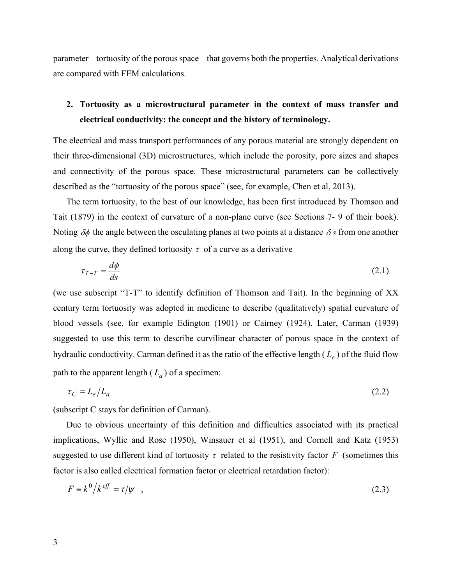parameter – tortuosity of the porous space – that governs both the properties. Analytical derivations are compared with FEM calculations.

# **2. Tortuosity as a microstructural parameter in the context of mass transfer and electrical conductivity: the concept and the history of terminology.**

The electrical and mass transport performances of any porous material are strongly dependent on their three-dimensional (3D) microstructures, which include the porosity, pore sizes and shapes and connectivity of the porous space. These microstructural parameters can be collectively described as the "tortuosity of the porous space" (see, for example, Chen et al, 2013).

The term tortuosity, to the best of our knowledge, has been first introduced by Thomson and Tait (1879) in the context of curvature of a non-plane curve (see Sections 7- 9 of their book). Noting  $\delta\phi$  the angle between the osculating planes at two points at a distance  $\delta s$  from one another along the curve, they defined tortuosity  $\tau$  of a curve as a derivative

$$
\tau_{T-T} = \frac{d\phi}{ds} \tag{2.1}
$$

(we use subscript "T-T" to identify definition of Thomson and Tait). In the beginning of XX century term tortuosity was adopted in medicine to describe (qualitatively) spatial curvature of blood vessels (see, for example Edington (1901) or Cairney (1924). Later, Carman (1939) suggested to use this term to describe curvilinear character of porous space in the context of hydraulic conductivity. Carman defined it as the ratio of the effective length ( $L_e$ ) of the fluid flow path to the apparent length  $(L_a)$  of a specimen:

$$
\tau_C = L_e / L_a \tag{2.2}
$$

(subscript C stays for definition of Carman).

Due to obvious uncertainty of this definition and difficulties associated with its practical implications, Wyllie and Rose (1950), Winsauer et al (1951), and Cornell and Katz (1953) suggested to use different kind of tortuosity  $\tau$  related to the resistivity factor F (sometimes this factor is also called electrical formation factor or electrical retardation factor):

$$
F \equiv k^0 / k^{eff} = \tau / \psi \quad , \tag{2.3}
$$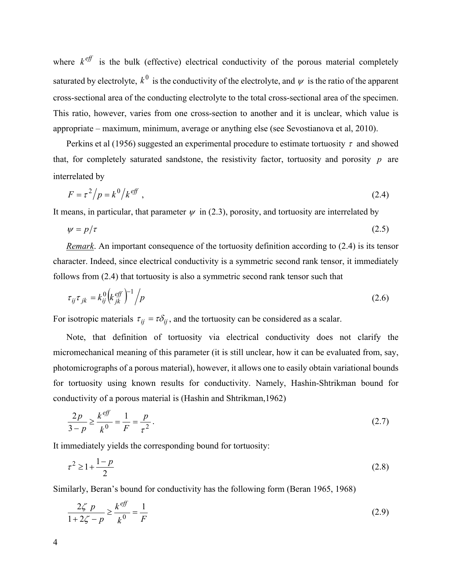where  $k^{eff}$  is the bulk (effective) electrical conductivity of the porous material completely saturated by electrolyte,  $k^0$  is the conductivity of the electrolyte, and  $\psi$  is the ratio of the apparent cross-sectional area of the conducting electrolyte to the total cross-sectional area of the specimen. This ratio, however, varies from one cross-section to another and it is unclear, which value is appropriate – maximum, minimum, average or anything else (see Sevostianova et al, 2010).

Perkins et al (1956) suggested an experimental procedure to estimate tortuosity  $\tau$  and showed that, for completely saturated sandstone, the resistivity factor, tortuosity and porosity  $p$  are interrelated by

$$
F = \tau^2 / p = k^0 / k^{eff} \tag{2.4}
$$

It means, in particular, that parameter  $\psi$  in (2.3), porosity, and tortuosity are interrelated by

$$
\psi = p/\tau \tag{2.5}
$$

*Remark*. An important consequence of the tortuosity definition according to (2.4) is its tensor character. Indeed, since electrical conductivity is a symmetric second rank tensor, it immediately follows from (2.4) that tortuosity is also a symmetric second rank tensor such that

$$
\tau_{ij}\tau_{jk} = k_{ij}^0 \left(k_{jk}^{eff}\right)^{-1} / p \tag{2.6}
$$

For isotropic materials  $\tau_{ij} = \tau \delta_{ij}$ , and the tortuosity can be considered as a scalar.

Note, that definition of tortuosity via electrical conductivity does not clarify the micromechanical meaning of this parameter (it is still unclear, how it can be evaluated from, say, photomicrographs of a porous material), however, it allows one to easily obtain variational bounds for tortuosity using known results for conductivity. Namely, Hashin-Shtrikman bound for conductivity of a porous material is (Hashin and Shtrikman,1962)

$$
\frac{2p}{3-p} \ge \frac{k^{eff}}{k^0} = \frac{1}{F} = \frac{p}{\tau^2} \,. \tag{2.7}
$$

It immediately yields the corresponding bound for tortuosity:

$$
\tau^2 \ge 1 + \frac{1 - p}{2} \tag{2.8}
$$

Similarly, Beran's bound for conductivity has the following form (Beran 1965, 1968)

$$
\frac{2\zeta \ p}{1 + 2\zeta - p} \ge \frac{k^{eff}}{k^0} = \frac{1}{F}
$$
 (2.9)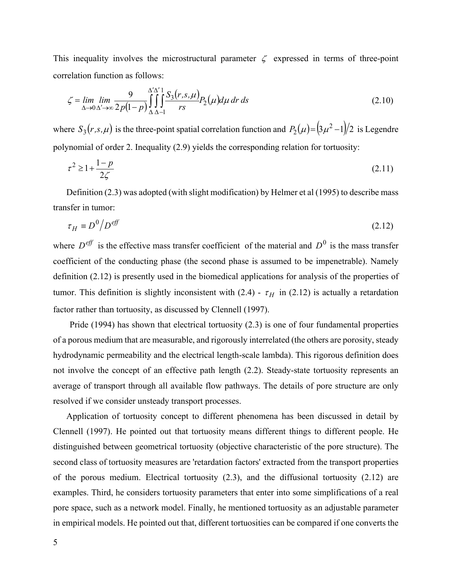This inequality involves the microstructural parameter  $\zeta$  expressed in terms of three-point correlation function as follows:

$$
\zeta = \lim_{\Delta \to 0} \lim_{\Delta' \to \infty} \frac{9}{2p(1-p)} \int_{\Delta}^{\Delta' \Delta'} \int_{-1}^{1} \frac{S_3(r, s, \mu)}{rs} P_2(\mu) d\mu \, dr \, ds \tag{2.10}
$$

where  $S_3(r, s, \mu)$  is the three-point spatial correlation function and  $P_2(\mu) = (3\mu^2 - 1)/2$  is Legendre polynomial of order 2. Inequality (2.9) yields the corresponding relation for tortuosity:

$$
\tau^2 \ge 1 + \frac{1 - p}{2\zeta} \tag{2.11}
$$

Definition (2.3) was adopted (with slight modification) by Helmer et al (1995) to describe mass transfer in tumor:

$$
\tau_H \equiv D^0 / D^{\text{eff}} \tag{2.12}
$$

where  $D^{\text{eff}}$  is the effective mass transfer coefficient of the material and  $D^0$  is the mass transfer coefficient of the conducting phase (the second phase is assumed to be impenetrable). Namely definition (2.12) is presently used in the biomedical applications for analysis of the properties of tumor. This definition is slightly inconsistent with (2.4) -  $\tau$ <sub>H</sub> in (2.12) is actually a retardation factor rather than tortuosity, as discussed by Clennell (1997).

Pride (1994) has shown that electrical tortuosity (2.3) is one of four fundamental properties of a porous medium that are measurable, and rigorously interrelated (the others are porosity, steady hydrodynamic permeability and the electrical length-scale lambda). This rigorous definition does not involve the concept of an effective path length (2.2). Steady-state tortuosity represents an average of transport through all available flow pathways. The details of pore structure are only resolved if we consider unsteady transport processes.

Application of tortuosity concept to different phenomena has been discussed in detail by Clennell (1997). He pointed out that tortuosity means different things to different people. He distinguished between geometrical tortuosity (objective characteristic of the pore structure). The second class of tortuosity measures are 'retardation factors' extracted from the transport properties of the porous medium. Electrical tortuosity (2.3), and the diffusional tortuosity (2.12) are examples. Third, he considers tortuosity parameters that enter into some simplifications of a real pore space, such as a network model. Finally, he mentioned tortuosity as an adjustable parameter in empirical models. He pointed out that, different tortuosities can be compared if one converts the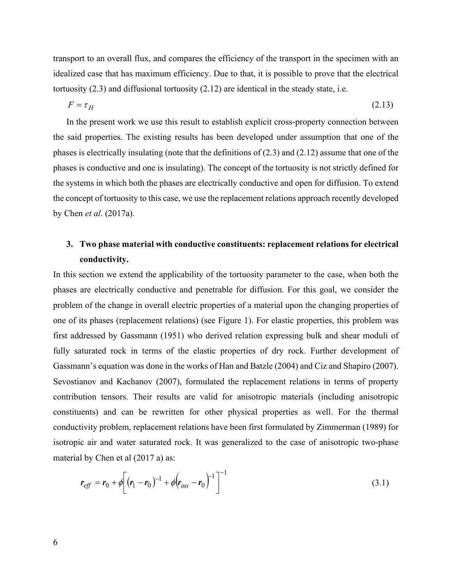transport to an overall flux, and compares the efficiency of the transport in the specimen with an idealized case that has maximum efficiency. Due to that, it is possible to prove that the electrical tortuosity (2.3) and diffusional tortuosity (2.12) are identical in the steady state, i.e.

$$
F = \tau_H \tag{2.13}
$$

In the present work we use this result to establish explicit cross-property connection between the said properties. The existing results has been developed under assumption that one of the phases is electrically insulating (note that the definitions of (2.3) and (2.12) assume that one of the phases is conductive and one is insulating). The concept of the tortuosity is not strictly defined for the systems in which both the phases are electrically conductive and open for diffusion. To extend the concept of tortuosity to this case, we use the replacement relations approach recently developed by Chen *et al*. (2017a).

## **3. Two phase material with conductive constituents: replacement relations for electrical conductivity.**

In this section we extend the applicability of the tortuosity parameter to the case, when both the phases are electrically conductive and penetrable for diffusion. For this goal, we consider the problem of the change in overall electric properties of a material upon the changing properties of one of its phases (replacement relations) (see Figure 1). For elastic properties, this problem was first addressed by Gassmann (1951) who derived relation expressing bulk and shear moduli of fully saturated rock in terms of the elastic properties of dry rock. Further development of Gassmann's equation was done in the works of Han and Batzle (2004) and Ciz and Shapiro (2007). Sevostianov and Kachanov (2007), formulated the replacement relations in terms of property contribution tensors. Their results are valid for anisotropic materials (including anisotropic constituents) and can be rewritten for other physical properties as well. For the thermal conductivity problem, replacement relations have been first formulated by Zimmerman (1989) for isotropic air and water saturated rock. It was generalized to the case of anisotropic two-phase material by Chen et al (2017 a) as:

$$
r_{\text{eff}} = r_0 + \phi \bigg[ (r_1 - r_0)^{-1} + \phi \big( r_{\text{ins}} - r_0 \bigg)^{-1} \bigg]^{-1} \tag{3.1}
$$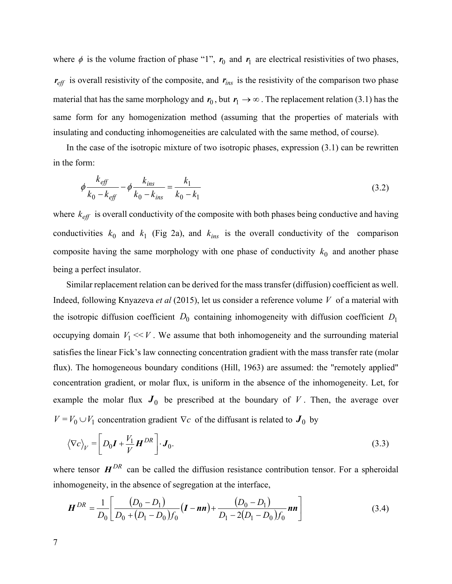where  $\phi$  is the volume fraction of phase "1",  $r_0$  and  $r_1$  are electrical resistivities of two phases,  $r_{\text{eff}}$  is overall resistivity of the composite, and  $r_{\text{ins}}$  is the resistivity of the comparison two phase material that has the same morphology and  $r_0$ , but  $r_1 \rightarrow \infty$ . The replacement relation (3.1) has the same form for any homogenization method (assuming that the properties of materials with insulating and conducting inhomogeneities are calculated with the same method, of course).

In the case of the isotropic mixture of two isotropic phases, expression  $(3.1)$  can be rewritten in the form:

$$
\phi \frac{k_{\text{eff}}}{k_0 - k_{\text{eff}}} - \phi \frac{k_{\text{ins}}}{k_0 - k_{\text{ins}}} = \frac{k_1}{k_0 - k_1} \tag{3.2}
$$

where  $k_{\text{eff}}$  is overall conductivity of the composite with both phases being conductive and having conductivities  $k_0$  and  $k_1$  (Fig 2a), and  $k_{ins}$  is the overall conductivity of the comparison composite having the same morphology with one phase of conductivity  $k_0$  and another phase being a perfect insulator.

Similar replacement relation can be derived for the mass transfer (diffusion) coefficient as well. Indeed, following Knyazeva *et al* (2015), let us consider a reference volume V of a material with the isotropic diffusion coefficient  $D_0$  containing inhomogeneity with diffusion coefficient  $D_1$ occupying domain  $V_1 \ll V$ . We assume that both inhomogeneity and the surrounding material satisfies the linear Fick's law connecting concentration gradient with the mass transfer rate (molar flux). The homogeneous boundary conditions (Hill, 1963) are assumed: the "remotely applied" concentration gradient, or molar flux, is uniform in the absence of the inhomogeneity. Let, for example the molar flux  $J_0$  be prescribed at the boundary of V. Then, the average over  $V = V_0 \cup V_1$  concentration gradient  $\nabla c$  of the diffusant is related to  $J_0$  by

$$
\langle \nabla c \rangle_V = \left[ D_0 \mathbf{I} + \frac{V_1}{V} \mathbf{H}^{DR} \right] \cdot \mathbf{J}_0. \tag{3.3}
$$

where tensor  $H^{DR}$  can be called the diffusion resistance contribution tensor. For a spheroidal inhomogeneity, in the absence of segregation at the interface,

$$
\boldsymbol{H}^{DR} = \frac{1}{D_0} \left[ \frac{(D_0 - D_1)}{D_0 + (D_1 - D_0)f_0} (\boldsymbol{I} - \boldsymbol{n}\boldsymbol{n}) + \frac{(D_0 - D_1)}{D_1 - 2(D_1 - D_0)f_0} \boldsymbol{n}\boldsymbol{n} \right]
$$
(3.4)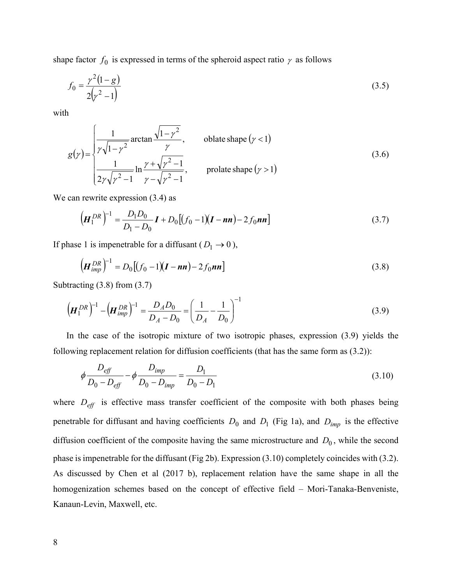shape factor  $f_0$  is expressed in terms of the spheroid aspect ratio  $\gamma$  as follows

$$
f_0 = \frac{\gamma^2 (1 - g)}{2(\gamma^2 - 1)}\tag{3.5}
$$

with

$$
g(\gamma) = \begin{cases} \frac{1}{\gamma \sqrt{1 - \gamma^2}} \arctan \frac{\sqrt{1 - \gamma^2}}{\gamma}, & \text{oblate shape } (\gamma < 1) \\ \frac{1}{2\gamma \sqrt{\gamma^2 - 1}} \ln \frac{\gamma + \sqrt{\gamma^2 - 1}}{\gamma - \sqrt{\gamma^2 - 1}}, & \text{prolate shape } (\gamma > 1) \end{cases}
$$
(3.6)

We can rewrite expression  $(3.4)$  as

$$
\left(\boldsymbol{H}_1^{DR}\right)^{-1} = \frac{D_1 D_0}{D_1 - D_0} \boldsymbol{I} + D_0 \left[ (f_0 - 1)(\boldsymbol{I} - \boldsymbol{n}\boldsymbol{n}) - 2f_0 \boldsymbol{n}\boldsymbol{n} \right]
$$
(3.7)

If phase 1 is impenetrable for a diffusant ( $D_1 \rightarrow 0$ ),

$$
\left(H_{imp}^{DR}\right)^{-1} = D_0 \left[ (f_0 - 1)(I - nn) - 2f_0 nn \right]
$$
\n(3.8)

Subtracting (3.8) from (3.7)

$$
\left(\boldsymbol{H}_1^{DR}\right)^{-1} - \left(\boldsymbol{H}_{imp}^{DR}\right)^{-1} = \frac{D_A D_0}{D_A - D_0} = \left(\frac{1}{D_A} - \frac{1}{D_0}\right)^{-1}
$$
\n(3.9)

In the case of the isotropic mixture of two isotropic phases, expression (3.9) yields the following replacement relation for diffusion coefficients (that has the same form as (3.2)):

$$
\phi \frac{D_{\text{eff}}}{D_0 - D_{\text{eff}}} - \phi \frac{D_{\text{imp}}}{D_0 - D_{\text{imp}}} = \frac{D_1}{D_0 - D_1} \tag{3.10}
$$

where  $D_{\text{eff}}$  is effective mass transfer coefficient of the composite with both phases being penetrable for diffusant and having coefficients  $D_0$  and  $D_1$  (Fig 1a), and  $D_{imp}$  is the effective diffusion coefficient of the composite having the same microstructure and  $D_0$ , while the second phase is impenetrable for the diffusant (Fig 2b). Expression (3.10) completely coincides with (3.2). As discussed by Chen et al (2017 b), replacement relation have the same shape in all the homogenization schemes based on the concept of effective field – Mori-Tanaka-Benveniste, Kanaun-Levin, Maxwell, etc.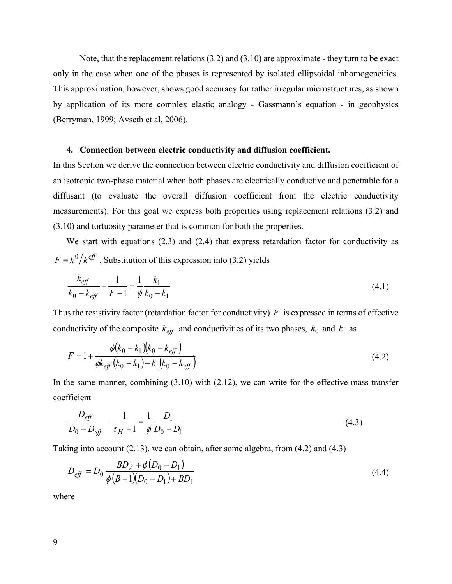Note, that the replacement relations (3.2) and (3.10) are approximate - they turn to be exact only in the case when one of the phases is represented by isolated ellipsoidal inhomogeneities. This approximation, however, shows good accuracy for rather irregular microstructures, as shown by application of its more complex elastic analogy - Gassmann's equation - in geophysics (Berryman, 1999; Avseth et al, 2006).

### **4. Connection between electric conductivity and diffusion coefficient.**

In this Section we derive the connection between electric conductivity and diffusion coefficient of an isotropic two-phase material when both phases are electrically conductive and penetrable for a diffusant (to evaluate the overall diffusion coefficient from the electric conductivity measurements). For this goal we express both properties using replacement relations (3.2) and (3.10) and tortuosity parameter that is common for both the properties.

We start with equations (2.3) and (2.4) that express retardation factor for conductivity as  $F \equiv k^0/k^{\text{eff}}$ . Substitution of this expression into (3.2) yields

$$
\frac{k_{\text{eff}}}{k_0 - k_{\text{eff}}} - \frac{1}{F - 1} = \frac{1}{\phi} \frac{k_1}{k_0 - k_1} \tag{4.1}
$$

Thus the resistivity factor (retardation factor for conductivity)  $F$  is expressed in terms of effective conductivity of the composite  $k_{\text{eff}}$  and conductivities of its two phases,  $k_0$  and  $k_1$  as

$$
F = 1 + \frac{\phi(k_0 - k_1)(k_0 - k_{\text{eff}})}{\phi k_{\text{eff}}(k_0 - k_1) - k_1(k_0 - k_{\text{eff}})}
$$
(4.2)

In the same manner, combining  $(3.10)$  with  $(2.12)$ , we can write for the effective mass transfer coefficient

$$
\frac{D_{\text{eff}}}{D_0 - D_{\text{eff}}} - \frac{1}{\tau_H - 1} = \frac{1}{\phi} \frac{D_1}{D_0 - D_1}
$$
(4.3)

Taking into account (2.13), we can obtain, after some algebra, from (4.2) and (4.3)

$$
D_{\text{eff}} = D_0 \frac{BD_A + \phi(D_0 - D_1)}{\phi(B + 1)(D_0 - D_1) + BD_1}
$$
\n(4.4)

where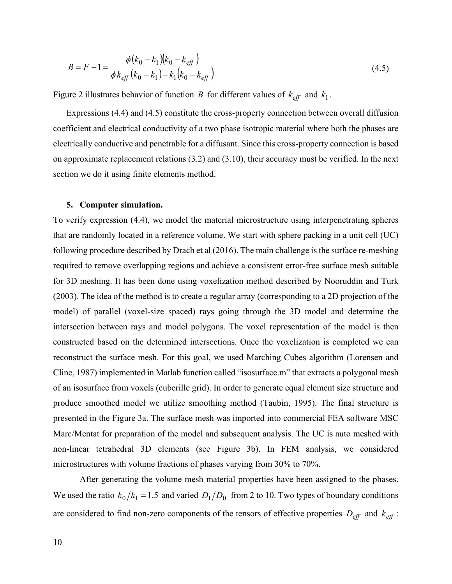$$
B = F - 1 = \frac{\phi(k_0 - k_1)(k_0 - k_{\text{eff}})}{\phi k_{\text{eff}}(k_0 - k_1) - k_1(k_0 - k_{\text{eff}})}
$$
(4.5)

Figure 2 illustrates behavior of function B for different values of  $k_{\text{eff}}$  and  $k_1$ .

Expressions (4.4) and (4.5) constitute the cross-property connection between overall diffusion coefficient and electrical conductivity of a two phase isotropic material where both the phases are electrically conductive and penetrable for a diffusant. Since this cross-property connection is based on approximate replacement relations (3.2) and (3.10), their accuracy must be verified. In the next section we do it using finite elements method.

#### **5. Computer simulation.**

To verify expression (4.4), we model the material microstructure using interpenetrating spheres that are randomly located in a reference volume. We start with sphere packing in a unit cell (UC) following procedure described by Drach et al (2016). The main challenge is the surface re-meshing required to remove overlapping regions and achieve a consistent error-free surface mesh suitable for 3D meshing. It has been done using voxelization method described by Nooruddin and Turk (2003). The idea of the method is to create a regular array (corresponding to a 2D projection of the model) of parallel (voxel-size spaced) rays going through the 3D model and determine the intersection between rays and model polygons. The voxel representation of the model is then constructed based on the determined intersections. Once the voxelization is completed we can reconstruct the surface mesh. For this goal, we used Marching Cubes algorithm (Lorensen and Cline, 1987) implemented in Matlab function called "isosurface.m" that extracts a polygonal mesh of an isosurface from voxels (cuberille grid). In order to generate equal element size structure and produce smoothed model we utilize smoothing method (Taubin, 1995). The final structure is presented in the Figure 3a. The surface mesh was imported into commercial FEA software MSC Marc/Mentat for preparation of the model and subsequent analysis. The UC is auto meshed with non-linear tetrahedral 3D elements (see Figure 3b). In FEM analysis, we considered microstructures with volume fractions of phases varying from 30% to 70%.

After generating the volume mesh material properties have been assigned to the phases. We used the ratio  $k_0/k_1 = 1.5$  and varied  $D_1/D_0$  from 2 to 10. Two types of boundary conditions are considered to find non-zero components of the tensors of effective properties  $D_{\text{eff}}$  and  $k_{\text{eff}}$ :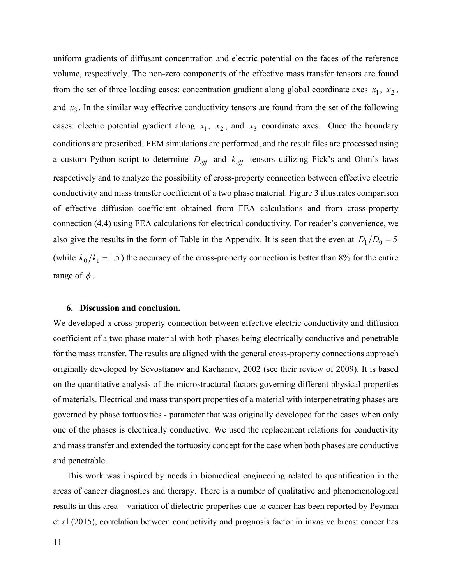uniform gradients of diffusant concentration and electric potential on the faces of the reference volume, respectively. The non-zero components of the effective mass transfer tensors are found from the set of three loading cases: concentration gradient along global coordinate axes  $x_1$ ,  $x_2$ , and  $x_3$ . In the similar way effective conductivity tensors are found from the set of the following cases: electric potential gradient along  $x_1$ ,  $x_2$ , and  $x_3$  coordinate axes. Once the boundary conditions are prescribed, FEM simulations are performed, and the result files are processed using a custom Python script to determine  $D_{\text{eff}}$  and  $k_{\text{eff}}$  tensors utilizing Fick's and Ohm's laws respectively and to analyze the possibility of cross-property connection between effective electric conductivity and mass transfer coefficient of a two phase material. Figure 3 illustrates comparison of effective diffusion coefficient obtained from FEA calculations and from cross-property connection (4.4) using FEA calculations for electrical conductivity. For reader's convenience, we also give the results in the form of Table in the Appendix. It is seen that the even at  $D_1/D_0 = 5$ (while  $k_0/k_1 = 1.5$ ) the accuracy of the cross-property connection is better than 8% for the entire range of  $\phi$ .

#### **6. Discussion and conclusion.**

We developed a cross-property connection between effective electric conductivity and diffusion coefficient of a two phase material with both phases being electrically conductive and penetrable for the mass transfer. The results are aligned with the general cross-property connections approach originally developed by Sevostianov and Kachanov, 2002 (see their review of 2009). It is based on the quantitative analysis of the microstructural factors governing different physical properties of materials. Electrical and mass transport properties of a material with interpenetrating phases are governed by phase tortuosities - parameter that was originally developed for the cases when only one of the phases is electrically conductive. We used the replacement relations for conductivity and mass transfer and extended the tortuosity concept for the case when both phases are conductive and penetrable.

This work was inspired by needs in biomedical engineering related to quantification in the areas of cancer diagnostics and therapy. There is a number of qualitative and phenomenological results in this area – variation of dielectric properties due to cancer has been reported by Peyman et al (2015), correlation between conductivity and prognosis factor in invasive breast cancer has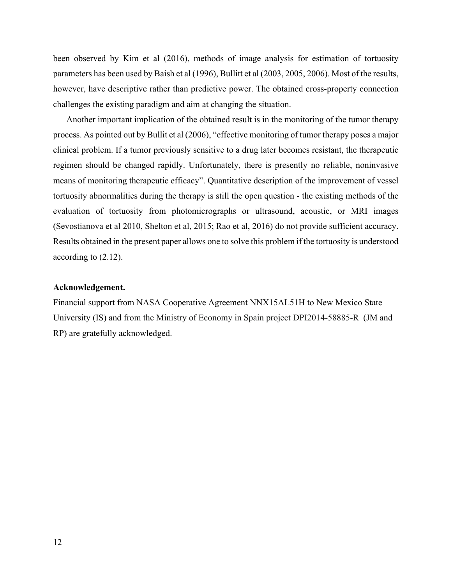been observed by Kim et al (2016), methods of image analysis for estimation of tortuosity parameters has been used by Baish et al (1996), Bullitt et al (2003, 2005, 2006). Most of the results, however, have descriptive rather than predictive power. The obtained cross-property connection challenges the existing paradigm and aim at changing the situation.

Another important implication of the obtained result is in the monitoring of the tumor therapy process. As pointed out by Bullit et al (2006), "effective monitoring of tumor therapy poses a major clinical problem. If a tumor previously sensitive to a drug later becomes resistant, the therapeutic regimen should be changed rapidly. Unfortunately, there is presently no reliable, noninvasive means of monitoring therapeutic efficacy". Quantitative description of the improvement of vessel tortuosity abnormalities during the therapy is still the open question - the existing methods of the evaluation of tortuosity from photomicrographs or ultrasound, acoustic, or MRI images (Sevostianova et al 2010, Shelton et al, 2015; Rao et al, 2016) do not provide sufficient accuracy. Results obtained in the present paper allows one to solve this problem if the tortuosity is understood according to (2.12).

## **Acknowledgement.**

Financial support from NASA Cooperative Agreement NNX15AL51H to New Mexico State University (IS) and from the Ministry of Economy in Spain project DPI2014-58885-R (JM and RP) are gratefully acknowledged.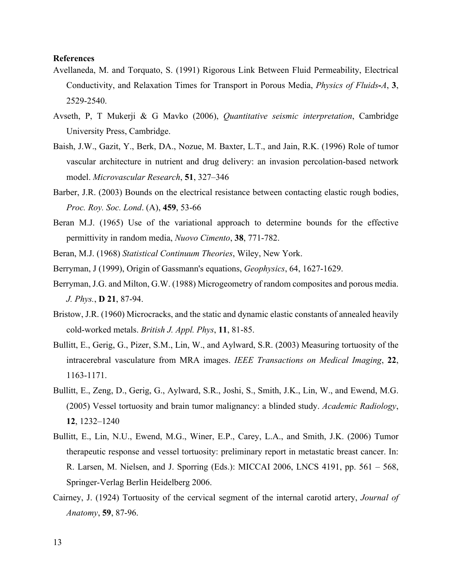## **References**

- Avellaneda, M. and Torquato, S. (1991) Rigorous Link Between Fluid Permeability, Electrical Conductivity, and Relaxation Times for Transport in Porous Media, *Physics of Fluids***-***A*, **3**, 2529-2540.
- Avseth, P, T Mukerji & G Mavko (2006), *Quantitative seismic interpretation*, Cambridge University Press, Cambridge.
- Baish, J.W., Gazit, Y., Berk, DA., Nozue, M. Baxter, L.T., and Jain, R.K. (1996) Role of tumor vascular architecture in nutrient and drug delivery: an invasion percolation-based network model. *Microvascular Research*, **51**, 327–346
- Barber, J.R. (2003) Bounds on the electrical resistance between contacting elastic rough bodies, *Proc. Roy. Soc. Lond*. (A), **459**, 53-66
- Beran M.J. (1965) Use of the variational approach to determine bounds for the effective permittivity in random media, *Nuovo Cimento*, **38**, 771-782.
- Beran, M.J. (1968) *Statistical Continuum Theories*, Wiley, New York.
- Berryman, J (1999), Origin of Gassmann's equations, *Geophysics*, 64, 1627-1629.
- Berryman, J.G. and Milton, G.W. (1988) Microgeometry of random composites and porous media. *J. Phys.*, **D 21**, 87-94.
- Bristow, J.R. (1960) Microcracks, and the static and dynamic elastic constants of annealed heavily cold-worked metals. *British J. Appl. Phys*, **11**, 81-85.
- Bullitt, E., Gerig, G., Pizer, S.M., Lin, W., and Aylward, S.R. (2003) Measuring tortuosity of the intracerebral vasculature from MRA images. *IEEE Transactions on Medical Imaging*, **22**, 1163-1171.
- Bullitt, E., Zeng, D., Gerig, G., Aylward, S.R., Joshi, S., Smith, J.K., Lin, W., and Ewend, M.G. (2005) Vessel tortuosity and brain tumor malignancy: a blinded study. *Academic Radiology*, **12**, 1232–1240
- Bullitt, E., Lin, N.U., Ewend, M.G., Winer, E.P., Carey, L.A., and Smith, J.K. (2006) Tumor therapeutic response and vessel tortuosity: preliminary report in metastatic breast cancer. In: R. Larsen, M. Nielsen, and J. Sporring (Eds.): MICCAI 2006, LNCS 4191, pp. 561 – 568, Springer-Verlag Berlin Heidelberg 2006.
- Cairney, J. (1924) Tortuosity of the cervical segment of the internal carotid artery, *Journal of Anatomy*, **59**, 87-96.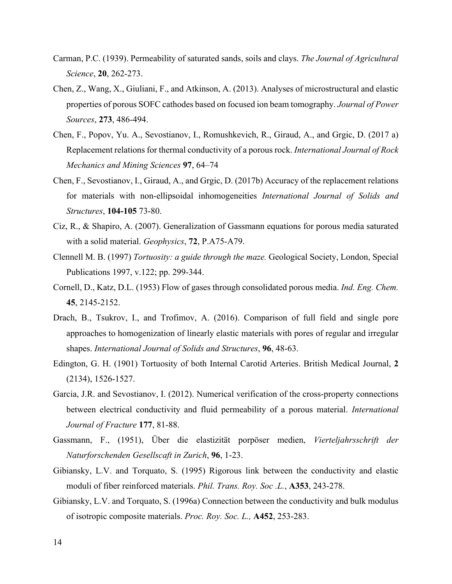- Carman, P.C. (1939). Permeability of saturated sands, soils and clays. *The Journal of Agricultural Science*, **20**, 262-273.
- Chen, Z., Wang, X., Giuliani, F., and Atkinson, A. (2013). Analyses of microstructural and elastic properties of porous SOFC cathodes based on focused ion beam tomography. *Journal of Power Sources*, **273**, 486-494.
- Chen, F., Popov, Yu. A., Sevostianov, I., Romushkevich, R., Giraud, A., and Grgic, D. (2017 a) Replacement relations for thermal conductivity of a porous rock. *International Journal of Rock Mechanics and Mining Sciences* **97**, 64–74
- Chen, F., Sevostianov, I., Giraud, A., and Grgic, D. (2017b) Accuracy of the replacement relations for materials with non-ellipsoidal inhomogeneities *International Journal of Solids and Structures*, **104-105** 73-80.
- Ciz, R., & Shapiro, A. (2007). Generalization of Gassmann equations for porous media saturated with a solid material. *Geophysics*, **72**, P.A75-A79.
- Clennell M. B. (1997) *Tortuosity: a guide through the maze.* Geological Society, London, Special Publications 1997, v.122; pp. 299-344.
- Cornell, D., Katz, D.L. (1953) Flow of gases through consolidated porous media. *Ind. Eng. Chem.* **45**, 2145-2152.
- Drach, B., Tsukrov, I., and Trofimov, A. (2016). Comparison of full field and single pore approaches to homogenization of linearly elastic materials with pores of regular and irregular shapes. *International Journal of Solids and Structures*, **96**, 48-63.
- Edington, G. H. (1901) Tortuosity of both Internal Carotid Arteries. British Medical Journal, **2** (2134), 1526-1527.
- Garcia, J.R. and Sevostianov, I. (2012). Numerical verification of the cross-property connections between electrical conductivity and fluid permeability of a porous material. *International Journal of Fracture* **177**, 81-88.
- Gassmann, F., (1951), Über die elastizität porpöser medien, *Vierteljahrsschrift der Naturforschenden Gesellscaft in Zurich*, **96**, 1-23.
- Gibiansky, L.V. and Torquato, S. (1995) Rigorous link between the conductivity and elastic moduli of fiber reinforced materials. *Phil. Trans. Roy. Soc .L.*, **A353**, 243-278.
- Gibiansky, L.V. and Torquato, S. (1996a) Connection between the conductivity and bulk modulus of isotropic composite materials. *Proc. Roy. Soc. L.,* **A452**, 253-283.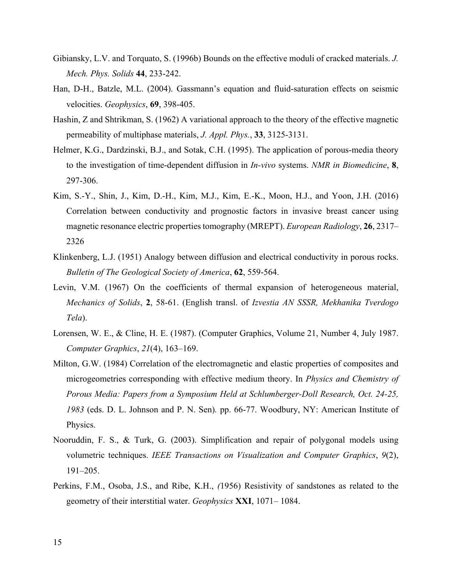- Gibiansky, L.V. and Torquato, S. (1996b) Bounds on the effective moduli of cracked materials. *J. Mech. Phys. Solids* **44**, 233-242.
- Han, D-H., Batzle, M.L. (2004). Gassmann's equation and fluid-saturation effects on seismic velocities. *Geophysics*, **69**, 398-405.
- Hashin, Z and Shtrikman, S. (1962) A variational approach to the theory of the effective magnetic permeability of multiphase materials, *J. Appl. Phys.*, **33**, 3125-3131.
- Helmer, K.G., Dardzinski, B.J., and Sotak, C.H. (1995). The application of porous-media theory to the investigation of time-dependent diffusion in *In-vivo* systems. *NMR in Biomedicine*, **8**, 297-306.
- Kim, S.-Y., Shin, J., Kim, D.-H., Kim, M.J., Kim, E.-K., Moon, H.J., and Yoon, J.H. (2016) Correlation between conductivity and prognostic factors in invasive breast cancer using magnetic resonance electric properties tomography (MREPT). *European Radiology*, **26**, 2317– 2326
- Klinkenberg, L.J. (1951) Analogy between diffusion and electrical conductivity in porous rocks. *Bulletin of The Geological Society of America*, **62**, 559-564.
- Levin, V.M. (1967) On the coefficients of thermal expansion of heterogeneous material, *Mechanics of Solids*, **2**, 58-61. (English transl. of *Izvestia AN SSSR, Mekhanika Tverdogo Tela*).
- Lorensen, W. E., & Cline, H. E. (1987). (Computer Graphics, Volume 21, Number 4, July 1987. *Computer Graphics*, *21*(4), 163–169.
- Milton, G.W. (1984) Correlation of the electromagnetic and elastic properties of composites and microgeometries corresponding with effective medium theory. In *Physics and Chemistry of Porous Media: Papers from a Symposium Held at Schlumberger-Doll Research, Oct. 24-25, 1983* (eds. D. L. Johnson and P. N. Sen)*.* pp. 66-77. Woodbury, NY: American Institute of Physics.
- Nooruddin, F. S., & Turk, G. (2003). Simplification and repair of polygonal models using volumetric techniques. *IEEE Transactions on Visualization and Computer Graphics*, *9*(2), 191–205.
- Perkins, F.M., Osoba, J.S., and Ribe, K.H., *(*1956) Resistivity of sandstones as related to the geometry of their interstitial water. *Geophysics* **XXI**, 1071– 1084.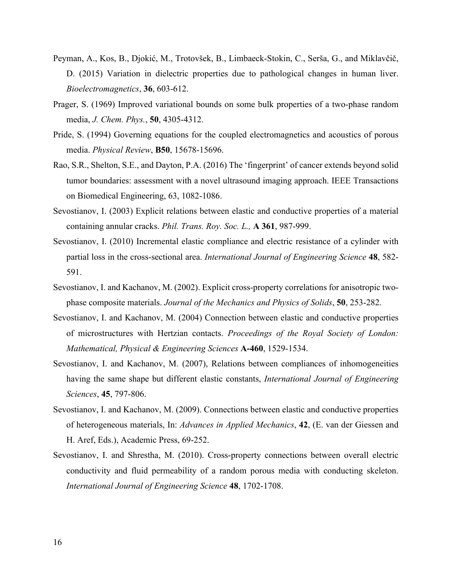- Peyman, A., Kos, B., Djokić, M., Trotovšek, B., Limbaeck-Stokin, C., Serša, G., and Miklavčič, D. (2015) Variation in dielectric properties due to pathological changes in human liver. *Bioelectromagnetics*, **36**, 603-612.
- Prager, S. (1969) Improved variational bounds on some bulk properties of a two-phase random media, *J. Chem. Phys.*, **50**, 4305-4312.
- Pride, S. (1994) Governing equations for the coupled electromagnetics and acoustics of porous media. *Physical Review*, **B50**, 15678-15696.
- Rao, S.R., Shelton, S.E., and Dayton, P.A. (2016) The 'fingerprint' of cancer extends beyond solid tumor boundaries: assessment with a novel ultrasound imaging approach. IEEE Transactions on Biomedical Engineering, 63, 1082-1086.
- Sevostianov, I. (2003) Explicit relations between elastic and conductive properties of a material containing annular cracks. *Phil. Trans. Roy. Soc. L.,* **A 361**, 987-999.
- Sevostianov, I. (2010) Incremental elastic compliance and electric resistance of a cylinder with partial loss in the cross-sectional area. *International Journal of Engineering Science* **48**, 582- 591.
- Sevostianov, I. and Kachanov, M. (2002). Explicit cross-property correlations for anisotropic twophase composite materials. *Journal of the Mechanics and Physics of Solids*, **50**, 253-282.
- Sevostianov, I. and Kachanov, M. (2004) Connection between elastic and conductive properties of microstructures with Hertzian contacts. *Proceedings of the Royal Society of London: Mathematical, Physical & Engineering Sciences* **A-460**, 1529-1534.
- Sevostianov, I. and Kachanov, M. (2007), Relations between compliances of inhomogeneities having the same shape but different elastic constants, *International Journal of Engineering Sciences*, **45**, 797-806.
- Sevostianov, I. and Kachanov, M. (2009). Connections between elastic and conductive properties of heterogeneous materials, In: *Advances in Applied Mechanics*, **42**, (E. van der Giessen and H. Aref, Eds.), Academic Press, 69-252.
- Sevostianov, I. and Shrestha, M. (2010). Cross-property connections between overall electric conductivity and fluid permeability of a random porous media with conducting skeleton. *International Journal of Engineering Science* **48**, 1702-1708.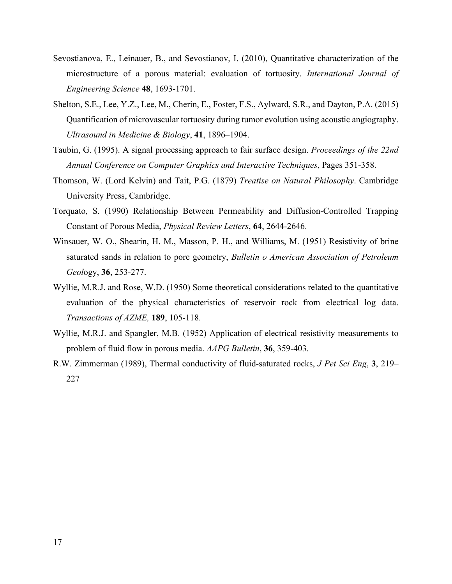- Sevostianova, E., Leinauer, B., and Sevostianov, I. (2010), Quantitative characterization of the microstructure of a porous material: evaluation of tortuosity. *International Journal of Engineering Science* **48**, 1693-1701.
- Shelton, S.E., Lee, Y.Z., Lee, M., Cherin, E., Foster, F.S., Aylward, S.R., and Dayton, P.A. (2015) Quantification of microvascular tortuosity during tumor evolution using acoustic angiography. *Ultrasound in Medicine & Biology*, **41**, 1896–1904.
- Taubin, G. (1995). A signal processing approach to fair surface design. *Proceedings of the 22nd Annual Conference on Computer Graphics and Interactive Techniques*, Pages 351-358.
- Thomson, W. (Lord Kelvin) and Tait, P.G. (1879) *Treatise on Natural Philosophy*. Cambridge University Press, Cambridge.
- Torquato, S. (1990) Relationship Between Permeability and Diffusion-Controlled Trapping Constant of Porous Media, *Physical Review Letters*, **64**, 2644-2646.
- Winsauer, W. O., Shearin, H. M., Masson, P. H., and Williams, M. (1951) Resistivity of brine saturated sands in relation to pore geometry, *Bulletin o American Association of Petroleum Geol*ogy, **36**, 253-277.
- Wyllie, M.R.J. and Rose, W.D. (1950) Some theoretical considerations related to the quantitative evaluation of the physical characteristics of reservoir rock from electrical log data. *Transactions of AZME,* **189**, 105-118.
- Wyllie, M.R.J. and Spangler, M.B. (1952) Application of electrical resistivity measurements to problem of fluid flow in porous media. *AAPG Bulletin*, **36**, 359-403.
- R.W. Zimmerman (1989), Thermal conductivity of fluid-saturated rocks, *J Pet Sci Eng*, **3**, 219– 227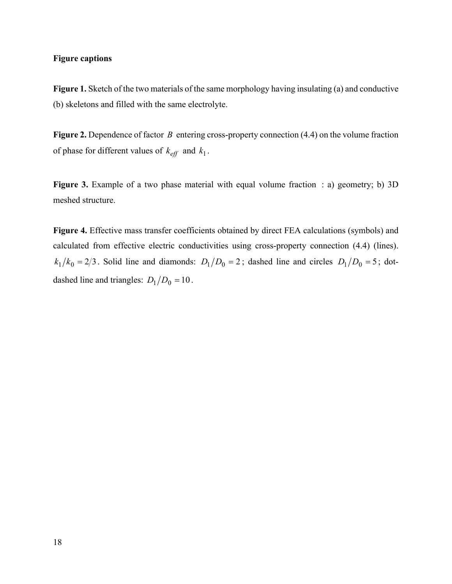## **Figure captions**

Figure 1. Sketch of the two materials of the same morphology having insulating (a) and conductive (b) skeletons and filled with the same electrolyte.

**Figure 2.** Dependence of factor B entering cross-property connection (4.4) on the volume fraction of phase for different values of  $k_{\text{eff}}$  and  $k_1$ .

**Figure 3.** Example of a two phase material with equal volume fraction : a) geometry; b) 3D meshed structure.

**Figure 4.** Effective mass transfer coefficients obtained by direct FEA calculations (symbols) and calculated from effective electric conductivities using cross-property connection (4.4) (lines).  $k_1/k_0 = 2/3$ . Solid line and diamonds:  $D_1/D_0 = 2$ ; dashed line and circles  $D_1/D_0 = 5$ ; dotdashed line and triangles:  $D_1/D_0 = 10$ .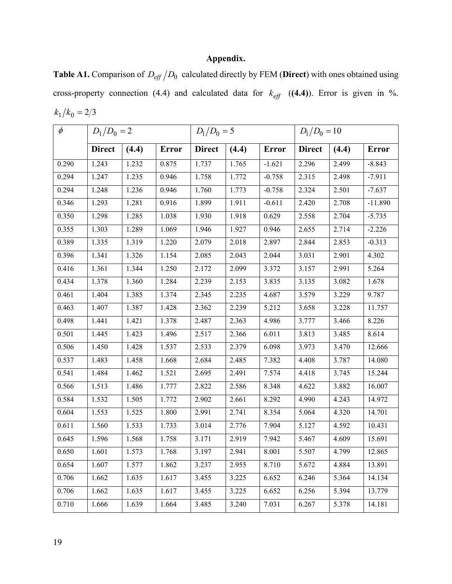## **Appendix.**

**Table A1.** Comparison of  $D_{\text{eff}}/D_0$  calculated directly by FEM (Direct) with ones obtained using cross-property connection (4.4) and calculated data for  $k_{\text{eff}}$  ((4.4)). Error is given in %.  $k_1/k_0 = 2/3$ 

| $\phi$ | $D_1/D_0 = 2$ |       |              | $D_1/D_0 = 5$  |       | $D_1/D_0 = 10$ |               |       |              |
|--------|---------------|-------|--------------|----------------|-------|----------------|---------------|-------|--------------|
|        | <b>Direct</b> | (4.4) | <b>Error</b> | Direct $(4.4)$ |       | <b>Error</b>   | <b>Direct</b> | (4.4) | <b>Error</b> |
| 0.290  | 1.243         | 1.232 | 0.875        | 1.737          | 1.765 | $-1.621$       | 2.296         | 2.499 | $-8.843$     |
| 0.294  | 1.247         | 1.235 | 0.946        | 1.758          | 1.772 | $-0.758$       | 2.315         | 2.498 | $-7.911$     |
| 0.294  | 1.248         | 1.236 | 0.946        | 1.760          | 1.773 | $-0.758$       | 2.324         | 2.501 | $-7.637$     |
| 0.346  | 1.293         | 1.281 | 0.916        | 1.899          | 1.911 | $-0.611$       | 2.420         | 2.708 | $-11.890$    |
| 0.350  | 1.298         | 1.285 | 1.038        | 1.930          | 1.918 | 0.629          | 2.558         | 2.704 | $-5.735$     |
| 0.355  | 1.303         | 1.289 | 1.069        | 1.946          | 1.927 | 0.946          | 2.655         | 2.714 | $-2.226$     |
| 0.389  | 1.335         | 1.319 | 1.220        | 2.079          | 2.018 | 2.897          | 2.844         | 2.853 | $-0.313$     |
| 0.396  | 1.341         | 1.326 | 1.154        | 2.085          | 2.043 | 2.044          | 3.031         | 2.901 | 4.302        |
| 0.416  | 1.361         | 1.344 | 1.250        | 2.172          | 2.099 | 3.372          | 3.157         | 2.991 | 5.264        |
| 0.434  | 1.378         | 1.360 | 1.284        | 2.239          | 2.153 | 3.835          | 3.135         | 3.082 | 1.678        |
| 0.461  | 1.404         | 1.385 | 1.374        | 2.345          | 2.235 | 4.687          | 3.579         | 3.229 | 9.787        |
| 0.463  | 1.407         | 1.387 | 1.428        | 2.362          | 2.239 | 5.212          | 3.658         | 3.228 | 11.757       |
| 0.498  | 1.441         | 1.421 | 1.378        | 2.487          | 2.363 | 4.986          | 3.777         | 3.466 | 8.226        |
| 0.501  | 1.445         | 1.423 | 1.496        | 2.517          | 2.366 | 6.011          | 3.813         | 3.485 | 8.614        |
| 0.506  | 1.450         | 1.428 | 1.537        | 2.533          | 2.379 | 6.098          | 3.973         | 3.470 | 12.666       |
| 0.537  | 1.483         | 1.458 | 1.668        | 2.684          | 2.485 | 7.382          | 4.408         | 3.787 | 14.080       |
| 0.541  | 1.484         | 1.462 | 1.521        | 2.695          | 2.491 | 7.574          | 4.418         | 3.745 | 15.244       |
| 0.566  | 1.513         | 1.486 | 1.777        | 2.822          | 2.586 | 8.348          | 4.622         | 3.882 | 16.007       |
| 0.584  | 1.532         | 1.505 | 1.772        | 2.902          | 2.661 | 8.292          | 4.990         | 4.243 | 14.972       |
| 0.604  | 1.553         | 1.525 | 1.800        | 2.991          | 2.741 | 8.354          | 5.064         | 4.320 | 14.701       |
| 0.611  | 1.560         | 1.533 | 1.733        | 3.014          | 2.776 | 7.904          | 5.127         | 4.592 | 10.431       |
| 0.645  | 1.596         | 1.568 | 1.758        | 3.171          | 2.919 | 7.942          | 5.467         | 4.609 | 15.691       |
| 0.650  | 1.601         | 1.573 | 1.768        | 3.197          | 2.941 | 8.001          | 5.507         | 4.799 | 12.865       |
| 0.654  | 1.607         | 1.577 | 1.862        | 3.237          | 2.955 | 8.710          | 5.672         | 4.884 | 13.891       |
| 0.706  | 1.662         | 1.635 | 1.617        | 3.455          | 3.225 | 6.652          | 6.246         | 5.364 | 14.134       |
| 0.706  | 1.662         | 1.635 | 1.617        | 3.455          | 3.225 | 6.652          | 6.256         | 5.394 | 13.779       |
| 0.710  | 1.666         | 1.639 | 1.664        | 3.485          | 3.240 | 7.031          | 6.267         | 5.378 | 14.181       |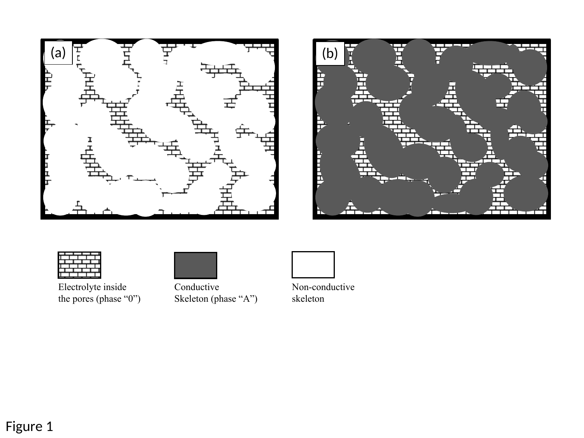





Electrolyte inside the pores (phase "0")



Conductive Skeleton (phase "A")



Non-conductive skeleton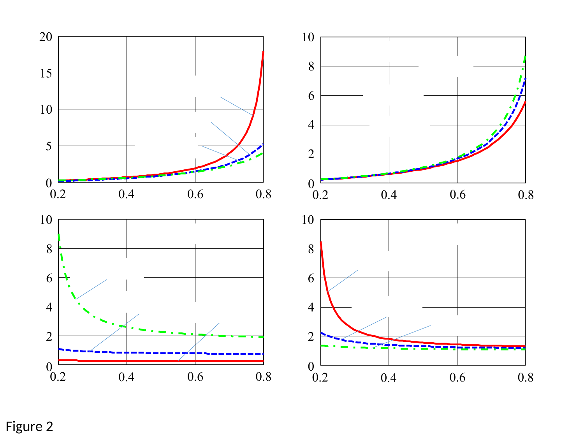

Figure 2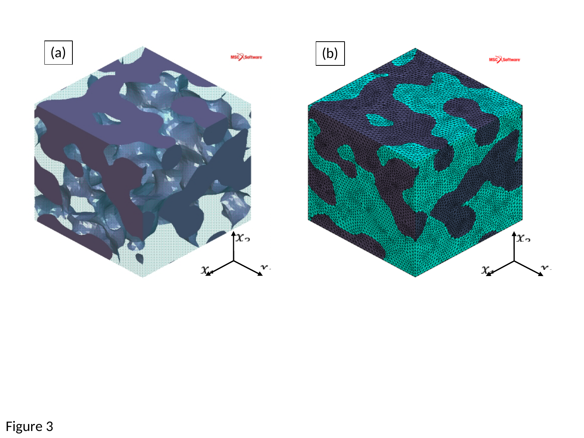